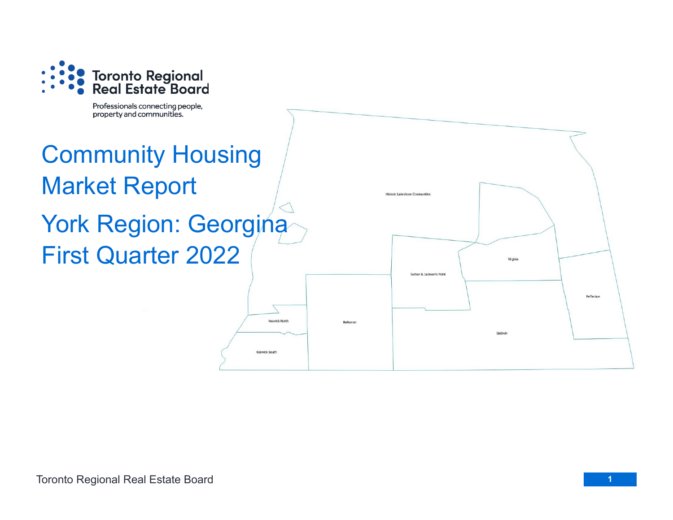

Professionals connecting people, property and communities.

## Community Housing Market Report York Region: Georgina First Quarter 2022

Keswick North

Keswick South

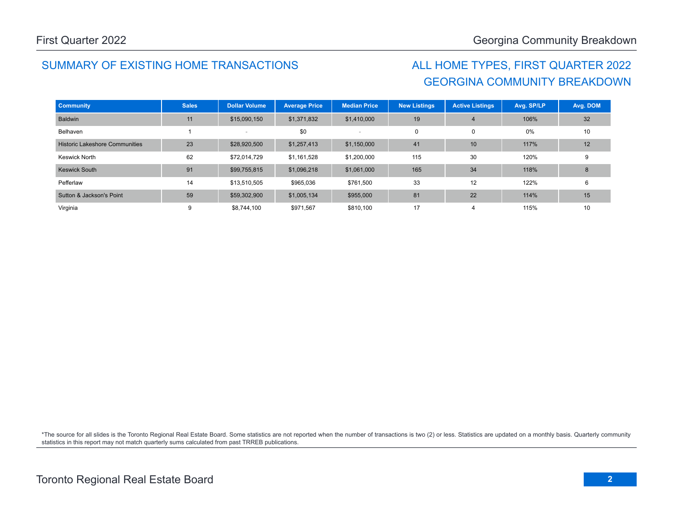## SUMMARY OF EXISTING HOME TRANSACTIONS ALL HOME TYPES, FIRST QUARTER 2022

## GEORGINA COMMUNITY BREAKDOWN

| <b>Community</b>                      | <b>Sales</b> | <b>Dollar Volume</b> | <b>Average Price</b> | <b>Median Price</b> | <b>New Listings</b> | <b>Active Listings</b> | Avg. SP/LP | Avg. DOM |
|---------------------------------------|--------------|----------------------|----------------------|---------------------|---------------------|------------------------|------------|----------|
| <b>Baldwin</b>                        | 11           | \$15,090,150         | \$1,371,832          | \$1,410,000         | 19                  | $\overline{4}$         | 106%       | 32       |
| Belhaven                              |              |                      | \$0                  |                     | 0                   | 0                      | 0%         | 10       |
| <b>Historic Lakeshore Communities</b> | 23           | \$28,920,500         | \$1,257,413          | \$1,150,000         | 41                  | 10                     | 117%       | 12       |
| <b>Keswick North</b>                  | 62           | \$72,014,729         | \$1,161,528          | \$1,200,000         | 115                 | 30                     | 120%       | 9        |
| <b>Keswick South</b>                  | 91           | \$99,755,815         | \$1,096,218          | \$1,061,000         | 165                 | 34                     | 118%       | 8        |
| Pefferlaw                             | 14           | \$13,510,505         | \$965,036            | \$761,500           | 33                  | 12                     | 122%       | 6        |
| Sutton & Jackson's Point              | 59           | \$59,302,900         | \$1,005,134          | \$955,000           | 81                  | 22                     | 114%       | 15       |
| Virginia                              | 9            | \$8,744,100          | \$971,567            | \$810,100           | 17                  | 4                      | 115%       | 10       |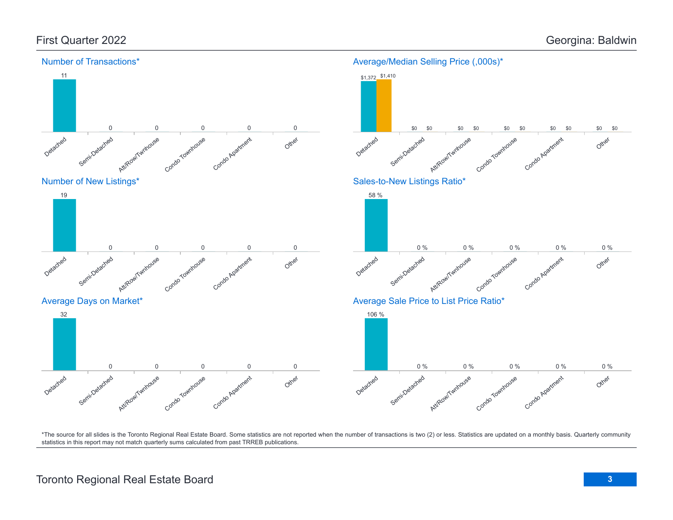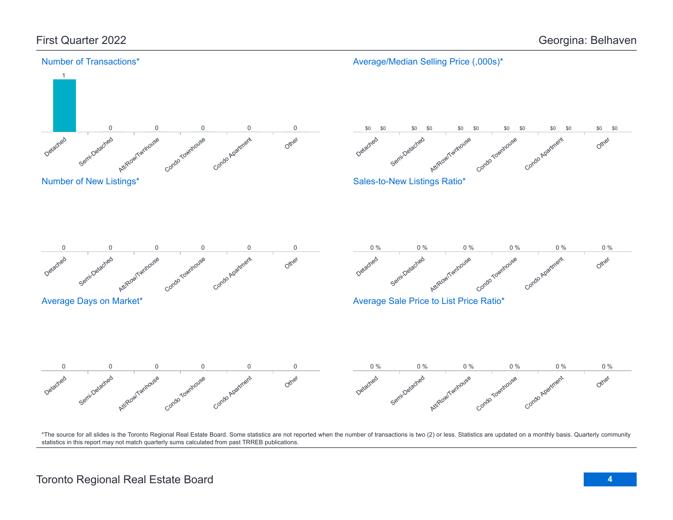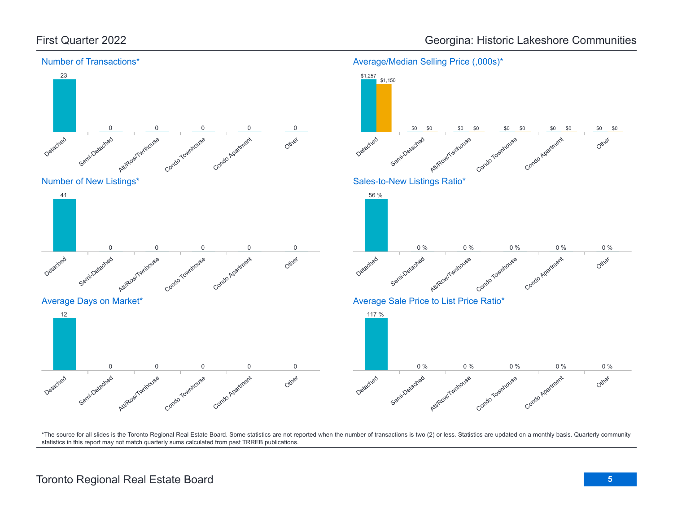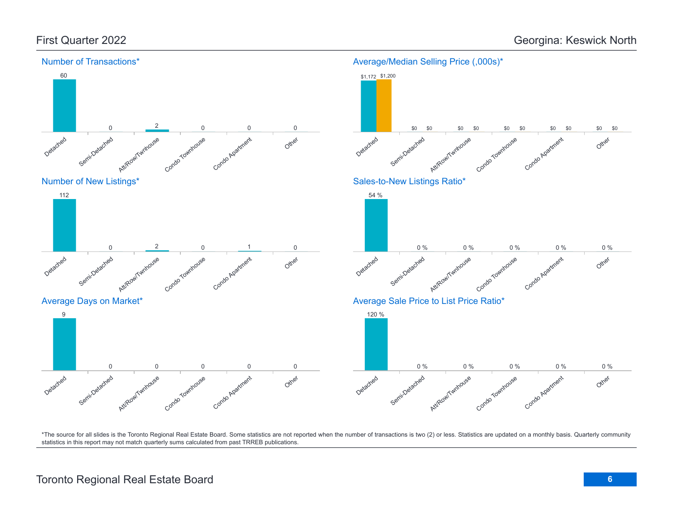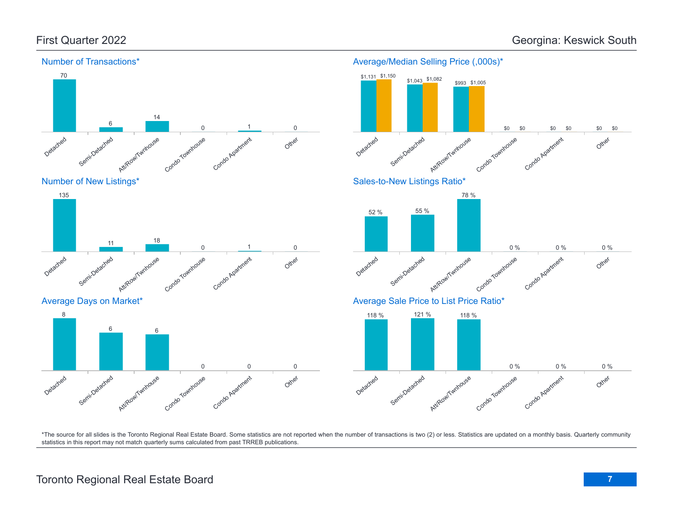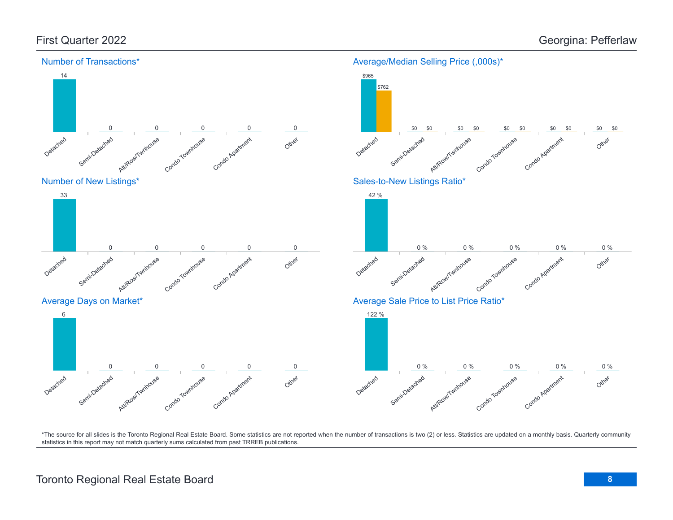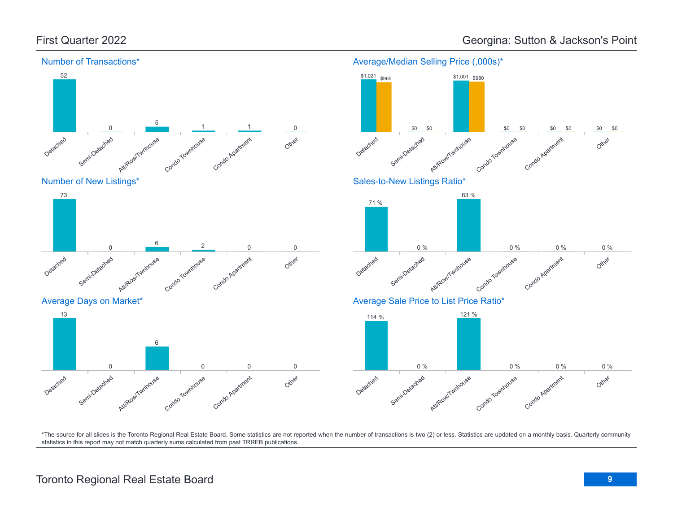